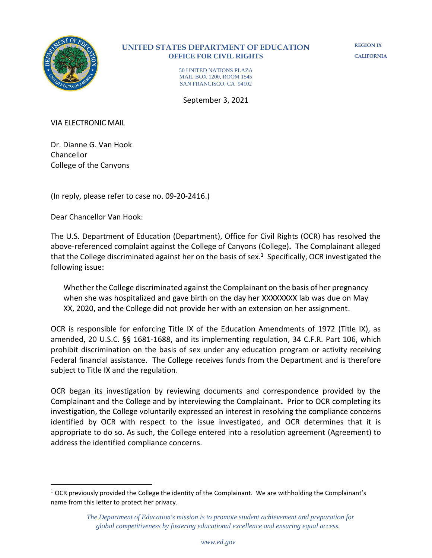

### **UNITED STATES DEPARTMENT OF EDUCATION OFFICE FOR CIVIL RIGHTS**

**REGION IX CALIFORNIA**

50 UNITED NATIONS PLAZA MAIL BOX 1200, ROOM 1545 SAN FRANCISCO, CA 94102

September 3, 2021

VIA ELECTRONIC MAIL

Dr. Dianne G. Van Hook Chancellor College of the Canyons

(In reply, please refer to case no. 09-20-2416.)

Dear Chancellor Van Hook:

The U.S. Department of Education (Department), Office for Civil Rights (OCR) has resolved the above-referenced complaint against the College of Canyons (College)**.** The Complainant alleged that the College discriminated against her on the basis of sex. 1 Specifically, OCR investigated the following issue:

Whether the College discriminated against the Complainant on the basis of her pregnancy when she was hospitalized and gave birth on the day her XXXXXXXX lab was due on May XX, 2020, and the College did not provide her with an extension on her assignment.

OCR is responsible for enforcing Title IX of the Education Amendments of 1972 (Title IX), as amended, 20 U.S.C. §§ 1681-1688, and its implementing regulation, 34 C.F.R. Part 106, which prohibit discrimination on the basis of sex under any education program or activity receiving Federal financial assistance. The College receives funds from the Department and is therefore subject to Title IX and the regulation.

OCR began its investigation by reviewing documents and correspondence provided by the Complainant and the College and by interviewing the Complainant**.** Prior to OCR completing its investigation, the College voluntarily expressed an interest in resolving the compliance concerns identified by OCR with respect to the issue investigated, and OCR determines that it is appropriate to do so. As such, the College entered into a resolution agreement (Agreement) to address the identified compliance concerns.

 $1$  OCR previously provided the College the identity of the Complainant. We are withholding the Complainant's name from this letter to protect her privacy.

*The Department of Education's mission is to promote student achievement and preparation for global competitiveness by fostering educational excellence and ensuring equal access.*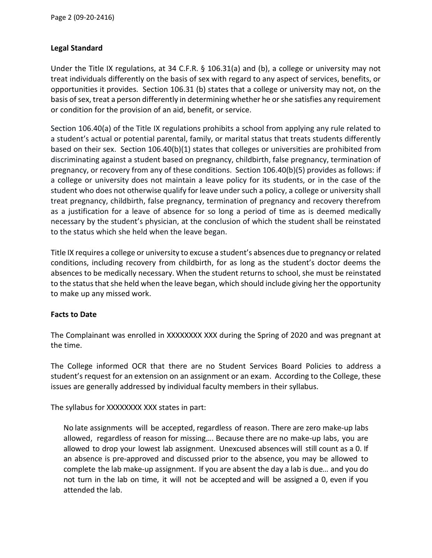# **Legal Standard**

Under the Title IX regulations, at 34 C.F.R. § 106.31(a) and (b), a college or university may not treat individuals differently on the basis of sex with regard to any aspect of services, benefits, or opportunities it provides. Section 106.31 (b) states that a college or university may not, on the basis of sex, treat a person differently in determining whether he or she satisfies any requirement or condition for the provision of an aid, benefit, or service.

Section 106.40(a) of the Title IX regulations prohibits a school from applying any rule related to a student's actual or potential parental, family, or marital status that treats students differently based on their sex. Section 106.40(b)(1) states that colleges or universities are prohibited from discriminating against a student based on pregnancy, childbirth, false pregnancy, termination of pregnancy, or recovery from any of these conditions. Section 106.40(b)(5) provides as follows: if a college or university does not maintain a leave policy for its students, or in the case of the student who does not otherwise qualify for leave under such a policy, a college or university shall treat pregnancy, childbirth, false pregnancy, termination of pregnancy and recovery therefrom as a justification for a leave of absence for so long a period of time as is deemed medically necessary by the student's physician, at the conclusion of which the student shall be reinstated to the status which she held when the leave began.

Title IX requires a college or university to excuse a student's absences due to pregnancy or related conditions, including recovery from childbirth, for as long as the student's doctor deems the absences to be medically necessary. When the student returns to school, she must be reinstated to the status that she held when the leave began, which should include giving her the opportunity to make up any missed work.

### **Facts to Date**

The Complainant was enrolled in XXXXXXXX XXX during the Spring of 2020 and was pregnant at the time.

The College informed OCR that there are no Student Services Board Policies to address a student's request for an extension on an assignment or an exam. According to the College, these issues are generally addressed by individual faculty members in their syllabus.

The syllabus for XXXXXXXX XXX states in part:

No late assignments will be accepted, regardless of reason. There are zero make-up labs allowed, regardless of reason for missing…. Because there are no make-up labs, you are allowed to drop your lowest lab assignment. Unexcused absences will still count as a 0. If an absence is pre-approved and discussed prior to the absence, you may be allowed to complete the lab make-up assignment. If you are absent the day a lab is due*…* and you do not turn in the lab on time, it will not be accepted and will be assigned a 0, even if you attended the lab.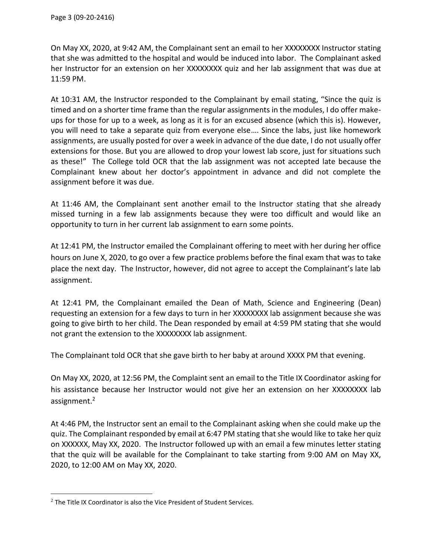On May XX, 2020, at 9:42 AM, the Complainant sent an email to her XXXXXXXX Instructor stating that she was admitted to the hospital and would be induced into labor. The Complainant asked her Instructor for an extension on her XXXXXXXX quiz and her lab assignment that was due at 11:59 PM.

At 10:31 AM, the Instructor responded to the Complainant by email stating, "Since the quiz is timed and on a shorter time frame than the regular assignments in the modules, I do offer makeups for those for up to a week, as long as it is for an excused absence (which this is). However, you will need to take a separate quiz from everyone else…. Since the labs, just like homework assignments, are usually posted for over a week in advance of the due date, I do not usually offer extensions for those. But you are allowed to drop your lowest lab score, just for situations such as these!" The College told OCR that the lab assignment was not accepted late because the Complainant knew about her doctor's appointment in advance and did not complete the assignment before it was due.

At 11:46 AM, the Complainant sent another email to the Instructor stating that she already missed turning in a few lab assignments because they were too difficult and would like an opportunity to turn in her current lab assignment to earn some points.

At 12:41 PM, the Instructor emailed the Complainant offering to meet with her during her office hours on June X, 2020, to go over a few practice problems before the final exam that was to take place the next day. The Instructor, however, did not agree to accept the Complainant's late lab assignment.

At 12:41 PM, the Complainant emailed the Dean of Math, Science and Engineering (Dean) requesting an extension for a few days to turn in her XXXXXXXX lab assignment because she was going to give birth to her child. The Dean responded by email at 4:59 PM stating that she would not grant the extension to the XXXXXXXX lab assignment.

The Complainant told OCR that she gave birth to her baby at around XXXX PM that evening.

On May XX, 2020, at 12:56 PM, the Complaint sent an email to the Title IX Coordinator asking for his assistance because her Instructor would not give her an extension on her XXXXXXXX lab assignment.<sup>2</sup>

At 4:46 PM, the Instructor sent an email to the Complainant asking when she could make up the quiz. The Complainant responded by email at 6:47 PM stating that she would like to take her quiz on XXXXXX, May XX, 2020. The Instructor followed up with an email a few minutes letter stating that the quiz will be available for the Complainant to take starting from 9:00 AM on May XX, 2020, to 12:00 AM on May XX, 2020.

 $2$  The Title IX Coordinator is also the Vice President of Student Services.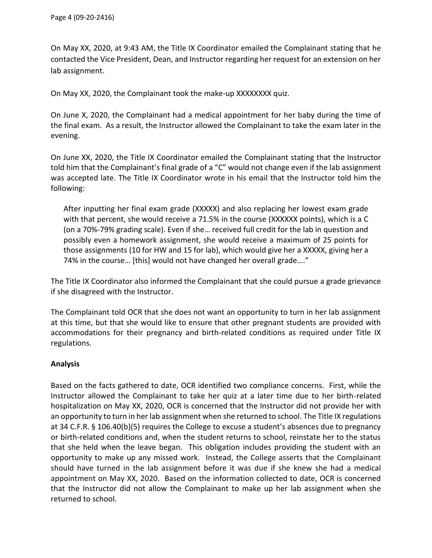On May XX, 2020, at 9:43 AM, the Title IX Coordinator emailed the Complainant stating that he contacted the Vice President, Dean, and Instructor regarding her request for an extension on her lab assignment.

On May XX, 2020, the Complainant took the make-up XXXXXXXX quiz.

On June X, 2020, the Complainant had a medical appointment for her baby during the time of the final exam. As a result, the Instructor allowed the Complainant to take the exam later in the evening.

On June XX, 2020, the Title IX Coordinator emailed the Complainant stating that the Instructor told him that the Complainant's final grade of a "C" would not change even if the lab assignment was accepted late. The Title IX Coordinator wrote in his email that the Instructor told him the following:

After inputting her final exam grade (XXXXX) and also replacing her lowest exam grade with that percent, she would receive a 71.5% in the course (XXXXXX points), which is a C (on a 70%-79% grading scale). Even if she… received full credit for the lab in question and possibly even a homework assignment, she would receive a maximum of 25 points for those assignments (10 for HW and 15 for lab), which would give her a XXXXX, giving her a 74% in the course… [this] would not have changed her overall grade…."

The Title IX Coordinator also informed the Complainant that she could pursue a grade grievance if she disagreed with the Instructor.

The Complainant told OCR that she does not want an opportunity to turn in her lab assignment at this time, but that she would like to ensure that other pregnant students are provided with accommodations for their pregnancy and birth-related conditions as required under Title IX regulations.

# **Analysis**

Based on the facts gathered to date, OCR identified two compliance concerns. First, while the Instructor allowed the Complainant to take her quiz at a later time due to her birth-related hospitalization on May XX, 2020, OCR is concerned that the Instructor did not provide her with an opportunity to turn in her lab assignment when she returned to school. The Title IX regulations at 34 C.F.R. § 106.40(b)(5) requires the College to excuse a student's absences due to pregnancy or birth-related conditions and, when the student returns to school, reinstate her to the status that she held when the leave began. This obligation includes providing the student with an opportunity to make up any missed work. Instead, the College asserts that the Complainant should have turned in the lab assignment before it was due if she knew she had a medical appointment on May XX, 2020. Based on the information collected to date, OCR is concerned that the Instructor did not allow the Complainant to make up her lab assignment when she returned to school.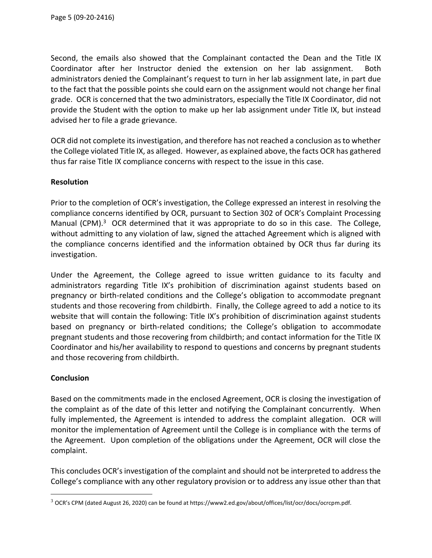Second, the emails also showed that the Complainant contacted the Dean and the Title IX Coordinator after her Instructor denied the extension on her lab assignment. Both administrators denied the Complainant's request to turn in her lab assignment late, in part due to the fact that the possible points she could earn on the assignment would not change her final grade. OCR is concerned that the two administrators, especially the Title IX Coordinator, did not provide the Student with the option to make up her lab assignment under Title IX, but instead advised her to file a grade grievance.

OCR did not complete its investigation, and therefore has not reached a conclusion as to whether the College violated Title IX, as alleged. However, as explained above, the facts OCR has gathered thus far raise Title IX compliance concerns with respect to the issue in this case.

### **Resolution**

Prior to the completion of OCR's investigation, the College expressed an interest in resolving the compliance concerns identified by OCR, pursuant to Section 302 of OCR's Complaint Processing Manual (CPM). $3$  OCR determined that it was appropriate to do so in this case. The College, without admitting to any violation of law, signed the attached Agreement which is aligned with the compliance concerns identified and the information obtained by OCR thus far during its investigation.

Under the Agreement, the College agreed to issue written guidance to its faculty and administrators regarding Title IX's prohibition of discrimination against students based on pregnancy or birth-related conditions and the College's obligation to accommodate pregnant students and those recovering from childbirth. Finally, the College agreed to add a notice to its website that will contain the following: Title IX's prohibition of discrimination against students based on pregnancy or birth-related conditions; the College's obligation to accommodate pregnant students and those recovering from childbirth; and contact information for the Title IX Coordinator and his/her availability to respond to questions and concerns by pregnant students and those recovering from childbirth.

### **Conclusion**

Based on the commitments made in the enclosed Agreement, OCR is closing the investigation of the complaint as of the date of this letter and notifying the Complainant concurrently. When fully implemented, the Agreement is intended to address the complaint allegation. OCR will monitor the implementation of Agreement until the College is in compliance with the terms of the Agreement. Upon completion of the obligations under the Agreement, OCR will close the complaint.

This concludes OCR's investigation of the complaint and should not be interpreted to address the College's compliance with any other regulatory provision or to address any issue other than that

 $3$  OCR's CPM (dated August 26, 2020) can be found at https://www2.ed.gov/about/offices/list/ocr/docs/ocrcpm.pdf.